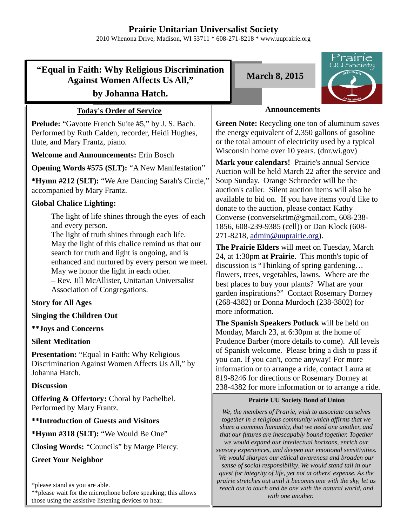# **Prairie Unitarian Universalist Society**

2010 Whenona Drive, Madison, WI 53711 \* 608-271-8218 \* www.uuprairie.org

# **"Equal in Faith: Why Religious Discrimination Against Women Affects Us All,"**

### **by Johanna Hatch.**

### **Today's Order of Service**

**Prelude:** "Gavotte French Suite #5," by J. S. Bach. Performed by Ruth Calden, recorder, Heidi Hughes, flute, and Mary Frantz, piano.

**Welcome and Announcements:** Erin Bosch

**Opening Words #575 (SLT):** "A New Manifestation"

**\*Hymn #212 (SLT):** "We Are Dancing Sarah's Circle," accompanied by Mary Frantz.

### **Global Chalice Lighting:**

The light of life shines through the eyes of each and every person.

The light of truth shines through each life. May the light of this chalice remind us that our search for truth and light is ongoing, and is enhanced and nurtured by every person we meet. May we honor the light in each other.

– Rev. Jill McAllister, Unitarian Universalist Association of Congregations.

### **Story for All Ages**

#### **Singing the Children Out**

#### **\*\*Joys and Concerns**

#### **Silent Meditation**

**Presentation:** "Equal in Faith: Why Religious Discrimination Against Women Affects Us All," by Johanna Hatch.

#### **Discussion**

**Offering & Offertory:** Choral by Pachelbel. Performed by Mary Frantz.

#### **\*\*Introduction of Guests and Visitors**

**\*Hymn #318 (SLT):** "We Would Be One"

**Closing Words:** "Councils" by Marge Piercy.

#### **Greet Your Neighbor**

\*\*please wait for the microphone before speaking; this allows those using the assistive listening devices to hear.

**March 8, 2015**



### **Announcements**

**Green Note:** Recycling one ton of aluminum saves the energy equivalent of 2,350 gallons of gasoline or the total amount of electricity used by a typical Wisconsin home over 10 years. (dnr.wi.gov)

**Mark your calendars!** Prairie's annual Service Auction will be held March 22 after the service and Soup Sunday. Orange Schroeder will be the auction's caller. Silent auction items will also be available to bid on. If you have items you'd like to donate to the auction, please contact Kathy Converse (conversekrtm@gmail.com, 608-238- 1856, 608-239-9385 (cell)) or Dan Klock (608- 271-8218, admin@uuprairie.org).

**The Prairie Elders** will meet on Tuesday, March 24, at 1:30pm **at Prairie**. This month's topic of discussion is "Thinking of spring gardening… flowers, trees, vegetables, lawns. Where are the best places to buy your plants? What are your garden inspirations?" Contact Rosemary Dorney (268-4382) or Donna Murdoch (238-3802) for more information.

**The Spanish Speakers Potluck** will be held on Monday, March 23, at 6:30pm at the home of Prudence Barber (more details to come). All levels of Spanish welcome. Please bring a dish to pass if you can. If you can't, come anyway! For more information or to arrange a ride, contact Laura at 819-8246 for directions or Rosemary Dorney at 238-4382 for more information or to arrange a ride.

#### **Prairie UU Society Bond of Union**

*We, the members of Prairie, wish to associate ourselves together in a religious community which affirms that we share a common humanity, that we need one another, and that our futures are inescapably bound together. Together we would expand our intellectual horizons, enrich our sensory experiences, and deepen our emotional sensitivities. We would sharpen our ethical awareness and broaden our sense of social responsibility. We would stand tall in our quest for integrity of life, yet not at others' expense. As the prairie stretches out until it becomes one with the sky, let us reach out to touch and be one with the natural world, and with one another.* 

<sup>\*</sup>please stand as you are able.